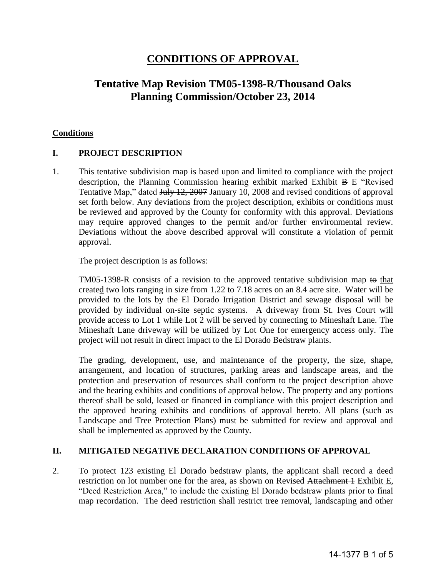# **CONDITIONS OF APPROVAL**

# **Tentative Map Revision TM05-1398-R/Thousand Oaks Planning Commission/October 23, 2014**

#### **Conditions**

## **I. PROJECT DESCRIPTION**

1. This tentative subdivision map is based upon and limited to compliance with the project description, the Planning Commission hearing exhibit marked Exhibit B E "Revised Tentative Map," dated July 12, 2007 January 10, 2008 and revised conditions of approval set forth below. Any deviations from the project description, exhibits or conditions must be reviewed and approved by the County for conformity with this approval. Deviations may require approved changes to the permit and/or further environmental review. Deviations without the above described approval will constitute a violation of permit approval.

The project description is as follows:

TM05-1398-R consists of a revision to the approved tentative subdivision map to that created two lots ranging in size from 1.22 to 7.18 acres on an 8.4 acre site. Water will be provided to the lots by the El Dorado Irrigation District and sewage disposal will be provided by individual on-site septic systems. A driveway from St. Ives Court will provide access to Lot 1 while Lot 2 will be served by connecting to Mineshaft Lane. The Mineshaft Lane driveway will be utilized by Lot One for emergency access only. The project will not result in direct impact to the El Dorado Bedstraw plants.

 The grading, development, use, and maintenance of the property, the size, shape, arrangement, and location of structures, parking areas and landscape areas, and the protection and preservation of resources shall conform to the project description above and the hearing exhibits and conditions of approval below. The property and any portions thereof shall be sold, leased or financed in compliance with this project description and the approved hearing exhibits and conditions of approval hereto. All plans (such as Landscape and Tree Protection Plans) must be submitted for review and approval and shall be implemented as approved by the County.

#### **II. MITIGATED NEGATIVE DECLARATION CONDITIONS OF APPROVAL**

2. To protect 123 existing El Dorado bedstraw plants, the applicant shall record a deed restriction on lot number one for the area, as shown on Revised Attachment 4 Exhibit E, "Deed Restriction Area," to include the existing El Dorado bedstraw plants prior to final map recordation. The deed restriction shall restrict tree removal, landscaping and other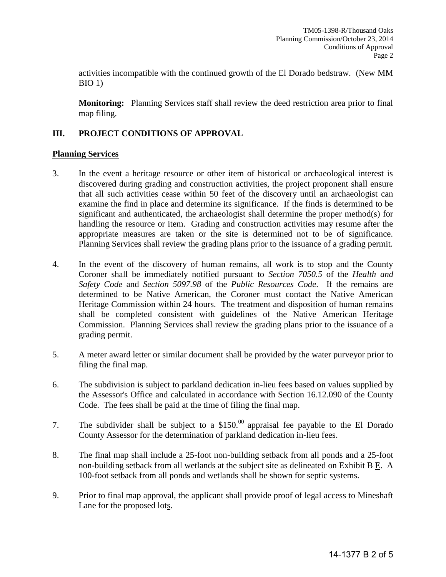activities incompatible with the continued growth of the El Dorado bedstraw. (New MM BIO 1)

 **Monitoring:** Planning Services staff shall review the deed restriction area prior to final map filing.

# **III. PROJECT CONDITIONS OF APPROVAL**

#### **Planning Services**

- 3. In the event a heritage resource or other item of historical or archaeological interest is discovered during grading and construction activities, the project proponent shall ensure that all such activities cease within 50 feet of the discovery until an archaeologist can examine the find in place and determine its significance. If the finds is determined to be significant and authenticated, the archaeologist shall determine the proper method(s) for handling the resource or item. Grading and construction activities may resume after the appropriate measures are taken or the site is determined not to be of significance. Planning Services shall review the grading plans prior to the issuance of a grading permit.
- 4. In the event of the discovery of human remains, all work is to stop and the County Coroner shall be immediately notified pursuant to *Section 7050.5* of the *Health and Safety Code* and *Section 5097.98* of the *Public Resources Code*. If the remains are determined to be Native American, the Coroner must contact the Native American Heritage Commission within 24 hours. The treatment and disposition of human remains shall be completed consistent with guidelines of the Native American Heritage Commission. Planning Services shall review the grading plans prior to the issuance of a grading permit.
- 5. A meter award letter or similar document shall be provided by the water purveyor prior to filing the final map.
- 6. The subdivision is subject to parkland dedication in-lieu fees based on values supplied by the Assessor's Office and calculated in accordance with Section 16.12.090 of the County Code. The fees shall be paid at the time of filing the final map.
- 7. The subdivider shall be subject to a  $$150<sup>00</sup>$  appraisal fee payable to the El Dorado County Assessor for the determination of parkland dedication in-lieu fees.
- 8. The final map shall include a 25-foot non-building setback from all ponds and a 25-foot non-building setback from all wetlands at the subject site as delineated on Exhibit B E. A 100-foot setback from all ponds and wetlands shall be shown for septic systems.
- 9. Prior to final map approval, the applicant shall provide proof of legal access to Mineshaft Lane for the proposed lots.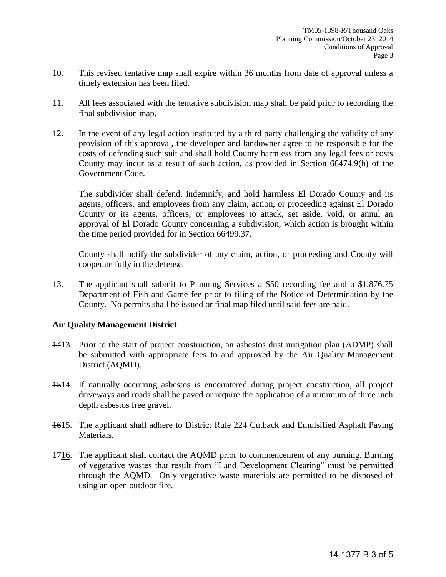- 10. This revised tentative map shall expire within 36 months from date of approval unless a timely extension has been filed.
- 11. All fees associated with the tentative subdivision map shall be paid prior to recording the final subdivision map.
- 12. In the event of any legal action instituted by a third party challenging the validity of any provision of this approval, the developer and landowner agree to be responsible for the costs of defending such suit and shall hold County harmless from any legal fees or costs County may incur as a result of such action, as provided in Section 66474.9(b) of the Government Code.

The subdivider shall defend, indemnify, and hold harmless El Dorado County and its agents, officers, and employees from any claim, action, or proceeding against El Dorado County or its agents, officers, or employees to attack, set aside, void, or annul an approval of El Dorado County concerning a subdivision, which action is brought within the time period provided for in Section 66499.37.

 County shall notify the subdivider of any claim, action, or proceeding and County will cooperate fully in the defense.

13. The applicant shall submit to Planning Services a \$50 recording fee and a \$1,876.75 Department of Fish and Game fee prior to filing of the Notice of Determination by the County. No permits shall be issued or final map filed until said fees are paid.

#### **Air Quality Management District**

- 1413. Prior to the start of project construction, an asbestos dust mitigation plan (ADMP) shall be submitted with appropriate fees to and approved by the Air Quality Management District (AQMD).
- 1514. If naturally occurring asbestos is encountered during project construction, all project driveways and roads shall be paved or require the application of a minimum of three inch depth asbestos free gravel.
- 1615. The applicant shall adhere to District Rule 224 Cutback and Emulsified Asphalt Paving Materials.
- 1716. The applicant shall contact the AQMD prior to commencement of any burning. Burning of vegetative wastes that result from "Land Development Clearing" must be permitted through the AQMD. Only vegetative waste materials are permitted to be disposed of using an open outdoor fire.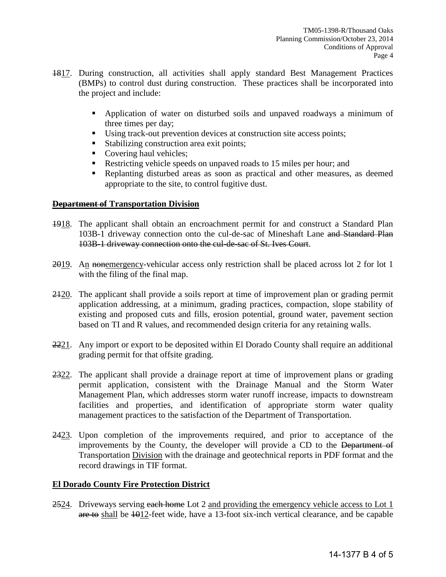- 1817. During construction, all activities shall apply standard Best Management Practices (BMPs) to control dust during construction. These practices shall be incorporated into the project and include:
	- Application of water on disturbed soils and unpaved roadways a minimum of three times per day;
	- Using track-out prevention devices at construction site access points;
	- Stabilizing construction area exit points;
	- Covering haul vehicles;
	- Restricting vehicle speeds on unpaved roads to 15 miles per hour; and
	- Replanting disturbed areas as soon as practical and other measures, as deemed appropriate to the site, to control fugitive dust.

## **Department of Transportation Division**

- 1918. The applicant shall obtain an encroachment permit for and construct a Standard Plan 103B-1 driveway connection onto the cul-de-sac of Mineshaft Lane and Standard Plan 103B-1 driveway connection onto the cul-de-sac of St. Ives Court.
- 2019. An nonemergency-vehicular access only restriction shall be placed across lot 2 for lot 1 with the filing of the final map.
- 2420. The applicant shall provide a soils report at time of improvement plan or grading permit application addressing, at a minimum, grading practices, compaction, slope stability of existing and proposed cuts and fills, erosion potential, ground water, pavement section based on TI and R values, and recommended design criteria for any retaining walls.
- 2221. Any import or export to be deposited within El Dorado County shall require an additional grading permit for that offsite grading.
- 2322. The applicant shall provide a drainage report at time of improvement plans or grading permit application, consistent with the Drainage Manual and the Storm Water Management Plan, which addresses storm water runoff increase, impacts to downstream facilities and properties, and identification of appropriate storm water quality management practices to the satisfaction of the Department of Transportation.
- 2423. Upon completion of the improvements required, and prior to acceptance of the improvements by the County, the developer will provide a CD to the Department of Transportation Division with the drainage and geotechnical reports in PDF format and the record drawings in TIF format.

## **El Dorado County Fire Protection District**

2524. Driveways serving each home Lot 2 and providing the emergency vehicle access to Lot 1 are to shall be 1012-feet wide, have a 13-foot six-inch vertical clearance, and be capable